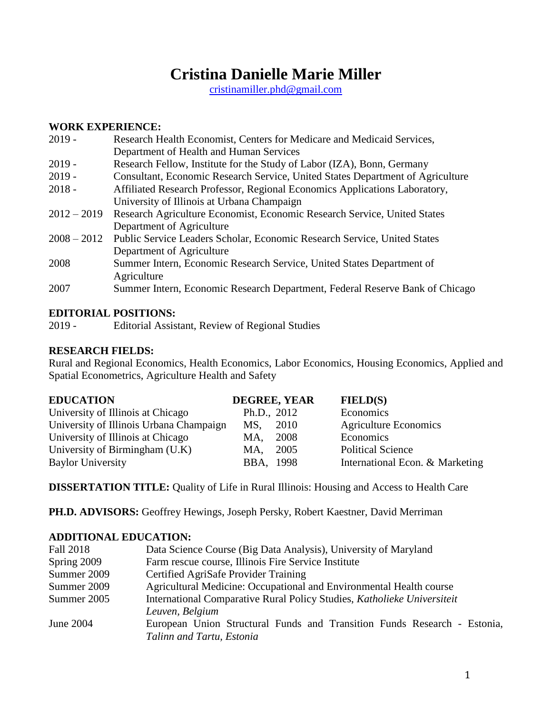# **Cristina Danielle Marie Miller**

[cristinamiller.phd@gmail.com](mailto:Cristinamiller.phd@gmail.com)

# **WORK EXPERIENCE:**

| $2019 -$      | Research Health Economist, Centers for Medicare and Medicaid Services,         |
|---------------|--------------------------------------------------------------------------------|
|               | Department of Health and Human Services                                        |
| $2019 -$      | Research Fellow, Institute for the Study of Labor (IZA), Bonn, Germany         |
| $2019 -$      | Consultant, Economic Research Service, United States Department of Agriculture |
| $2018 -$      | Affiliated Research Professor, Regional Economics Applications Laboratory,     |
|               | University of Illinois at Urbana Champaign                                     |
| $2012 - 2019$ | Research Agriculture Economist, Economic Research Service, United States       |
|               | Department of Agriculture                                                      |
| $2008 - 2012$ | Public Service Leaders Scholar, Economic Research Service, United States       |
|               | Department of Agriculture                                                      |
| 2008          | Summer Intern, Economic Research Service, United States Department of          |
|               | Agriculture                                                                    |
| 2007          | Summer Intern, Economic Research Department, Federal Reserve Bank of Chicago   |
|               |                                                                                |

# **EDITORIAL POSITIONS:**

2019 - Editorial Assistant, Review of Regional Studies

# **RESEARCH FIELDS:**

Rural and Regional Economics, Health Economics, Labor Economics, Housing Economics, Applied and Spatial Econometrics, Agriculture Health and Safety

| <b>EDUCATION</b>                        |             | <b>DEGREE, YEAR</b> | FIED(S)                         |
|-----------------------------------------|-------------|---------------------|---------------------------------|
| University of Illinois at Chicago       | Ph.D., 2012 |                     | Economics                       |
| University of Illinois Urbana Champaign | MS.         | 2010                | <b>Agriculture Economics</b>    |
| University of Illinois at Chicago       | MA.         | 2008                | Economics                       |
| University of Birmingham (U.K)          | MA.         | 2005                | <b>Political Science</b>        |
| <b>Baylor University</b>                | BBA, 1998   |                     | International Econ. & Marketing |

**DISSERTATION TITLE:** Quality of Life in Rural Illinois: Housing and Access to Health Care

**PH.D. ADVISORS:** Geoffrey Hewings, Joseph Persky, Robert Kaestner, David Merriman

# **ADDITIONAL EDUCATION:**

| Fall 2018   | Data Science Course (Big Data Analysis), University of Maryland          |
|-------------|--------------------------------------------------------------------------|
| Spring 2009 | Farm rescue course, Illinois Fire Service Institute                      |
| Summer 2009 | Certified AgriSafe Provider Training                                     |
| Summer 2009 | Agricultural Medicine: Occupational and Environmental Health course      |
| Summer 2005 | International Comparative Rural Policy Studies, Katholieke Universiteit  |
|             | Leuven, Belgium                                                          |
| June 2004   | European Union Structural Funds and Transition Funds Research - Estonia, |
|             | Talinn and Tartu, Estonia                                                |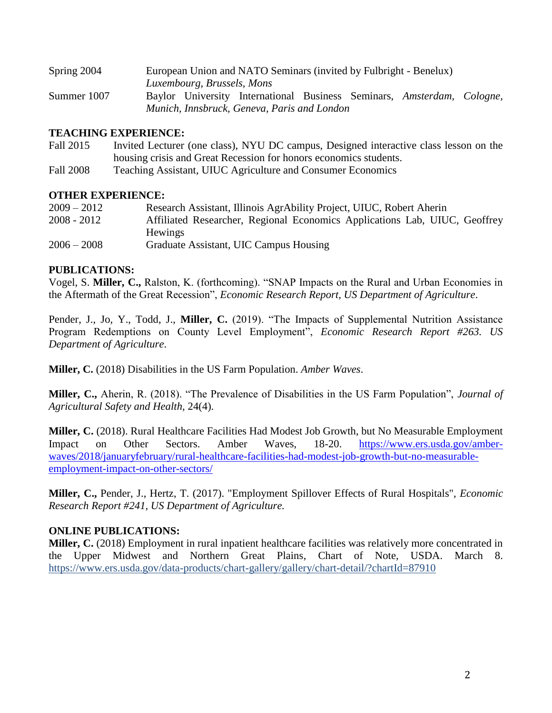| Spring 2004 | European Union and NATO Seminars (invited by Fulbright - Benelux)      |
|-------------|------------------------------------------------------------------------|
|             | Luxembourg, Brussels, Mons                                             |
| Summer 1007 | Baylor University International Business Seminars, Amsterdam, Cologne, |
|             | Munich, Innsbruck, Geneva, Paris and London                            |

#### **TEACHING EXPERIENCE:**

Fall 2015 Invited Lecturer (one class), NYU DC campus, Designed interactive class lesson on the housing crisis and Great Recession for honors economics students. Fall 2008 Teaching Assistant, UIUC Agriculture and Consumer Economics

#### **OTHER EXPERIENCE:**

| $2009 - 2012$ | Research Assistant, Illinois AgrAbility Project, UIUC, Robert Aherin       |
|---------------|----------------------------------------------------------------------------|
| $2008 - 2012$ | Affiliated Researcher, Regional Economics Applications Lab, UIUC, Geoffrey |
|               | Hewings                                                                    |
| $2006 - 2008$ | Graduate Assistant, UIC Campus Housing                                     |

#### **PUBLICATIONS:**

Vogel, S. **Miller, C.,** Ralston, K. (forthcoming). "SNAP Impacts on the Rural and Urban Economies in the Aftermath of the Great Recession", *Economic Research Report, US Department of Agriculture*.

Pender, J., Jo, Y., Todd, J., **Miller, C.** (2019). "The Impacts of Supplemental Nutrition Assistance Program Redemptions on County Level Employment", *Economic Research Report #263. US Department of Agriculture*.

**Miller, C.** (2018) Disabilities in the US Farm Population. *Amber Waves*.

**Miller, C.,** Aherin, R. (2018). "The Prevalence of Disabilities in the US Farm Population", *Journal of Agricultural Safety and Health,* 24(4).

**Miller, C.** (2018). Rural Healthcare Facilities Had Modest Job Growth, but No Measurable Employment Impact on Other Sectors. Amber Waves, 18-20. [https://www.ers.usda.gov/amber](https://www.ers.usda.gov/amber-waves/2018/januaryfebruary/rural-healthcare-facilities-had-modest-job-growth-but-no-measurable-employment-impact-on-other-sectors/)[waves/2018/januaryfebruary/rural-healthcare-facilities-had-modest-job-growth-but-no-measurable](https://www.ers.usda.gov/amber-waves/2018/januaryfebruary/rural-healthcare-facilities-had-modest-job-growth-but-no-measurable-employment-impact-on-other-sectors/)[employment-impact-on-other-sectors/](https://www.ers.usda.gov/amber-waves/2018/januaryfebruary/rural-healthcare-facilities-had-modest-job-growth-but-no-measurable-employment-impact-on-other-sectors/)

**Miller, C.,** Pender, J., Hertz, T. (2017). "Employment Spillover Effects of Rural Hospitals", *Economic Research Report #241, US Department of Agriculture.* 

#### **ONLINE PUBLICATIONS:**

**Miller, C.** (2018) [Employment in rural inpatient healthcare facilities was relatively more concentrated in](https://www.ers.usda.gov/data-products/chart-gallery/gallery/chart-detail/?chartId=87910)  [the Upper Midwest and Northern Great Plains,](https://www.ers.usda.gov/data-products/chart-gallery/gallery/chart-detail/?chartId=87910) Chart of Note, USDA. March 8. https://www.ers.usda.gov/data-products/chart-gallery/gallery/chart-detail/?chartId=87910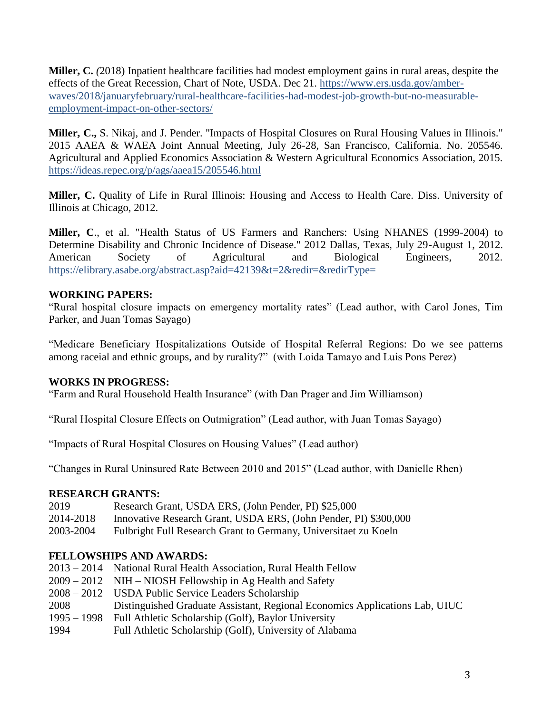**Miller, C.** *(*2018) Inpatient healthcare facilities had modest employment gains in rural areas, despite the effects of the Great Recession, Chart of Note, USDA. Dec 21. https://www.ers.usda.gov/amberwaves/2018/januaryfebruary/rural-healthcare-facilities-had-modest-job-growth-but-no-measurableemployment-impact-on-other-sectors/

**Miller, C.,** S. Nikaj, and J. Pender. "Impacts of Hospital Closures on Rural Housing Values in Illinois." 2015 AAEA & WAEA Joint Annual Meeting, July 26-28, San Francisco, California. No. 205546. Agricultural and Applied Economics Association & Western Agricultural Economics Association, 2015. https://ideas.repec.org/p/ags/aaea15/205546.html

**Miller, C.** Quality of Life in Rural Illinois: Housing and Access to Health Care. Diss. University of Illinois at Chicago, 2012.

**Miller, C**., et al. "Health Status of US Farmers and Ranchers: Using NHANES (1999-2004) to Determine Disability and Chronic Incidence of Disease." 2012 Dallas, Texas, July 29-August 1, 2012. American Society of Agricultural and Biological Engineers, 2012. https://elibrary.asabe.org/abstract.asp?aid=42139&t=2&redir=&redirType=

#### **WORKING PAPERS:**

"Rural hospital closure impacts on emergency mortality rates" (Lead author, with Carol Jones, Tim Parker, and Juan Tomas Sayago)

"Medicare Beneficiary Hospitalizations Outside of Hospital Referral Regions: Do we see patterns among raceial and ethnic groups, and by rurality?" (with Loida Tamayo and Luis Pons Perez)

#### **WORKS IN PROGRESS:**

"Farm and Rural Household Health Insurance" (with Dan Prager and Jim Williamson)

"Rural Hospital Closure Effects on Outmigration" (Lead author, with Juan Tomas Sayago)

"Impacts of Rural Hospital Closures on Housing Values" (Lead author)

"Changes in Rural Uninsured Rate Between 2010 and 2015" (Lead author, with Danielle Rhen)

#### **RESEARCH GRANTS:**

| 2019      | Research Grant, USDA ERS, (John Pender, PI) \$25,000             |
|-----------|------------------------------------------------------------------|
| 2014-2018 | Innovative Research Grant, USDA ERS, (John Pender, PI) \$300,000 |
| 2003-2004 | Fulbright Full Research Grant to Germany, Universitaet zu Koeln  |

# **FELLOWSHIPS AND AWARDS:**

|               | 2013 – 2014 National Rural Health Association, Rural Health Fellow          |
|---------------|-----------------------------------------------------------------------------|
|               | $2009 - 2012$ NIH – NIOSH Fellowship in Ag Health and Safety                |
|               | 2008 – 2012 USDA Public Service Leaders Scholarship                         |
| 2008          | Distinguished Graduate Assistant, Regional Economics Applications Lab, UIUC |
| $1995 - 1998$ | Full Athletic Scholarship (Golf), Baylor University                         |
| 1994          | Full Athletic Scholarship (Golf), University of Alabama                     |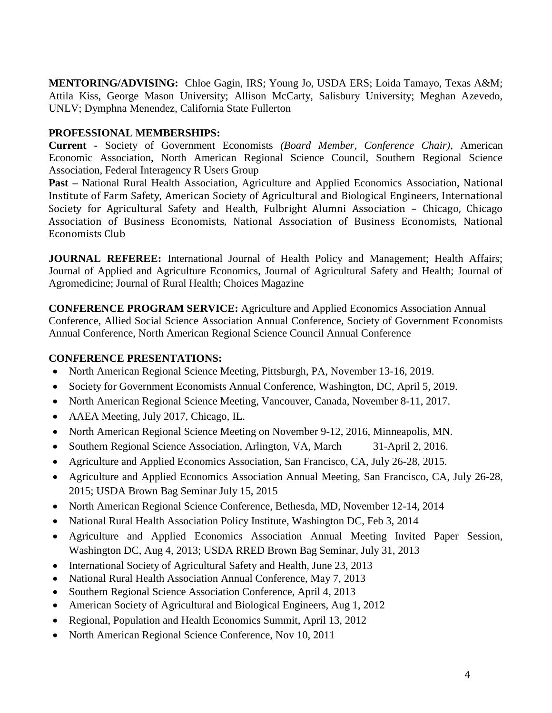**MENTORING/ADVISING:** Chloe Gagin, IRS; Young Jo, USDA ERS; Loida Tamayo, Texas A&M; Attila Kiss, George Mason University; Allison McCarty, Salisbury University; Meghan Azevedo, UNLV; Dymphna Menendez, California State Fullerton

## **PROFESSIONAL MEMBERSHIPS:**

**Current -** Society of Government Economists *(Board Member, Conference Chair)*, American Economic Association, North American Regional Science Council, Southern Regional Science Association, Federal Interagency R Users Group

**Past –** National Rural Health Association, Agriculture and Applied Economics Association, National Institute of Farm Safety, American Society of Agricultural and Biological Engineers, International Society for Agricultural Safety and Health, Fulbright Alumni Association – Chicago, Chicago Association of Business Economists, National Association of Business Economists, National Economists Club

**JOURNAL REFEREE:** International Journal of Health Policy and Management; Health Affairs; Journal of Applied and Agriculture Economics, Journal of Agricultural Safety and Health; Journal of Agromedicine; Journal of Rural Health; Choices Magazine

**CONFERENCE PROGRAM SERVICE:** Agriculture and Applied Economics Association Annual Conference, Allied Social Science Association Annual Conference, Society of Government Economists Annual Conference, North American Regional Science Council Annual Conference

## **CONFERENCE PRESENTATIONS:**

- North American Regional Science Meeting, Pittsburgh, PA, November 13-16, 2019.
- Society for Government Economists Annual Conference, Washington, DC, April 5, 2019.
- North American Regional Science Meeting, Vancouver, Canada, November 8-11, 2017.
- AAEA Meeting, July 2017, Chicago, IL.
- North American Regional Science Meeting on November 9-12, 2016, Minneapolis, MN.
- Southern Regional Science Association, Arlington, VA, March 31-April 2, 2016.
- Agriculture and Applied Economics Association, San Francisco, CA, July 26-28, 2015.
- Agriculture and Applied Economics Association Annual Meeting, San Francisco, CA, July 26-28, 2015; USDA Brown Bag Seminar July 15, 2015
- North American Regional Science Conference, Bethesda, MD, November 12-14, 2014
- National Rural Health Association Policy Institute, Washington DC, Feb 3, 2014
- Agriculture and Applied Economics Association Annual Meeting Invited Paper Session, Washington DC, Aug 4, 2013; USDA RRED Brown Bag Seminar, July 31, 2013
- International Society of Agricultural Safety and Health, June 23, 2013
- National Rural Health Association Annual Conference, May 7, 2013
- Southern Regional Science Association Conference, April 4, 2013
- American Society of Agricultural and Biological Engineers, Aug 1, 2012
- Regional, Population and Health Economics Summit, April 13, 2012
- North American Regional Science Conference, Nov 10, 2011